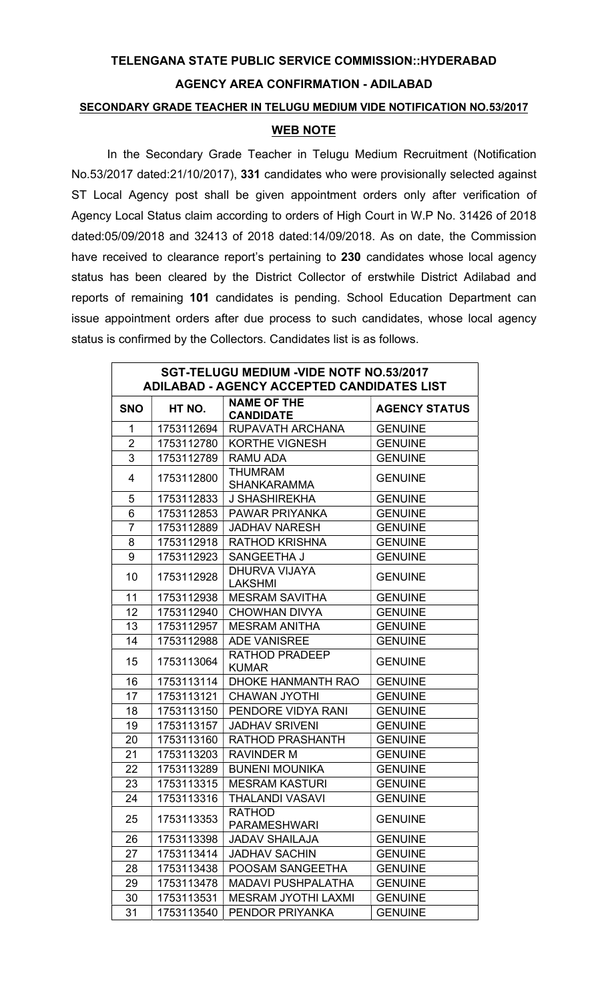## TELENGANA STATE PUBLIC SERVICE COMMISSION::HYDERABAD AGENCY AREA CONFIRMATION - ADILABAD

## SECONDARY GRADE TEACHER IN TELUGU MEDIUM VIDE NOTIFICATION NO.53/2017

## WEB NOTE

In the Secondary Grade Teacher in Telugu Medium Recruitment (Notification No.53/2017 dated:21/10/2017), 331 candidates who were provisionally selected against ST Local Agency post shall be given appointment orders only after verification of Agency Local Status claim according to orders of High Court in W.P No. 31426 of 2018 dated:05/09/2018 and 32413 of 2018 dated:14/09/2018. As on date, the Commission have received to clearance report's pertaining to 230 candidates whose local agency status has been cleared by the District Collector of erstwhile District Adilabad and reports of remaining 101 candidates is pending. School Education Department can issue appointment orders after due process to such candidates, whose local agency status is confirmed by the Collectors. Candidates list is as follows.

| SGT-TELUGU MEDIUM - VIDE NOTF NO.53/2017<br><b>ADILABAD - AGENCY ACCEPTED CANDIDATES LIST</b> |            |                                        |                      |
|-----------------------------------------------------------------------------------------------|------------|----------------------------------------|----------------------|
| <b>SNO</b>                                                                                    | HT NO.     | <b>NAME OF THE</b><br><b>CANDIDATE</b> | <b>AGENCY STATUS</b> |
| 1                                                                                             |            | 1753112694   RUPAVATH ARCHANA          | <b>GENUINE</b>       |
| $\overline{2}$                                                                                | 1753112780 | <b>KORTHE VIGNESH</b>                  | <b>GENUINE</b>       |
| 3                                                                                             | 1753112789 | RAMU ADA                               | <b>GENUINE</b>       |
| 4                                                                                             | 1753112800 | <b>THUMRAM</b><br><b>SHANKARAMMA</b>   | <b>GENUINE</b>       |
| 5                                                                                             | 1753112833 | J SHASHIREKHA                          | <b>GENUINE</b>       |
| 6                                                                                             | 1753112853 | PAWAR PRIYANKA                         | <b>GENUINE</b>       |
| $\overline{7}$                                                                                | 1753112889 | <b>JADHAV NARESH</b>                   | <b>GENUINE</b>       |
| 8                                                                                             | 1753112918 | <b>RATHOD KRISHNA</b>                  | <b>GENUINE</b>       |
| 9                                                                                             | 1753112923 | SANGEETHA J                            | <b>GENUINE</b>       |
| 10                                                                                            | 1753112928 | DHURVA VIJAYA<br><b>LAKSHMI</b>        | <b>GENUINE</b>       |
| 11                                                                                            | 1753112938 | <b>MESRAM SAVITHA</b>                  | <b>GENUINE</b>       |
| 12 <sub>2</sub>                                                                               | 1753112940 | <b>CHOWHAN DIVYA</b>                   | <b>GENUINE</b>       |
| 13                                                                                            | 1753112957 | <b>MESRAM ANITHA</b>                   | <b>GENUINE</b>       |
| 14                                                                                            | 1753112988 | <b>ADE VANISREE</b>                    | <b>GENUINE</b>       |
| 15                                                                                            | 1753113064 | RATHOD PRADEEP<br><b>KUMAR</b>         | <b>GENUINE</b>       |
| 16                                                                                            | 1753113114 | DHOKE HANMANTH RAO                     | <b>GENUINE</b>       |
| 17                                                                                            | 1753113121 | <b>CHAWAN JYOTHI</b>                   | <b>GENUINE</b>       |
| 18                                                                                            | 1753113150 | PENDORE VIDYA RANI                     | <b>GENUINE</b>       |
| 19                                                                                            | 1753113157 | <b>JADHAV SRIVENI</b>                  | <b>GENUINE</b>       |
| 20                                                                                            | 1753113160 | <b>RATHOD PRASHANTH</b>                | <b>GENUINE</b>       |
| 21                                                                                            | 1753113203 | <b>RAVINDER M</b>                      | <b>GENUINE</b>       |
| 22                                                                                            | 1753113289 | <b>BUNENI MOUNIKA</b>                  | <b>GENUINE</b>       |
| 23                                                                                            | 1753113315 | <b>MESRAM KASTURI</b>                  | <b>GENUINE</b>       |
| 24                                                                                            | 1753113316 | <b>THALANDI VASAVI</b>                 | <b>GENUINE</b>       |
| 25                                                                                            | 1753113353 | <b>RATHOD</b><br><b>PARAMESHWARI</b>   | <b>GENUINE</b>       |
| 26                                                                                            | 1753113398 | <b>JADAV SHAILAJA</b>                  | <b>GENUINE</b>       |
| 27                                                                                            | 1753113414 | <b>JADHAV SACHIN</b>                   | <b>GENUINE</b>       |
| 28                                                                                            | 1753113438 | POOSAM SANGEETHA                       | <b>GENUINE</b>       |
| 29                                                                                            | 1753113478 | <b>MADAVI PUSHPALATHA</b>              | <b>GENUINE</b>       |
| 30                                                                                            | 1753113531 | <b>MESRAM JYOTHI LAXMI</b>             | <b>GENUINE</b>       |
| 31                                                                                            | 1753113540 | PENDOR PRIYANKA                        | <b>GENUINE</b>       |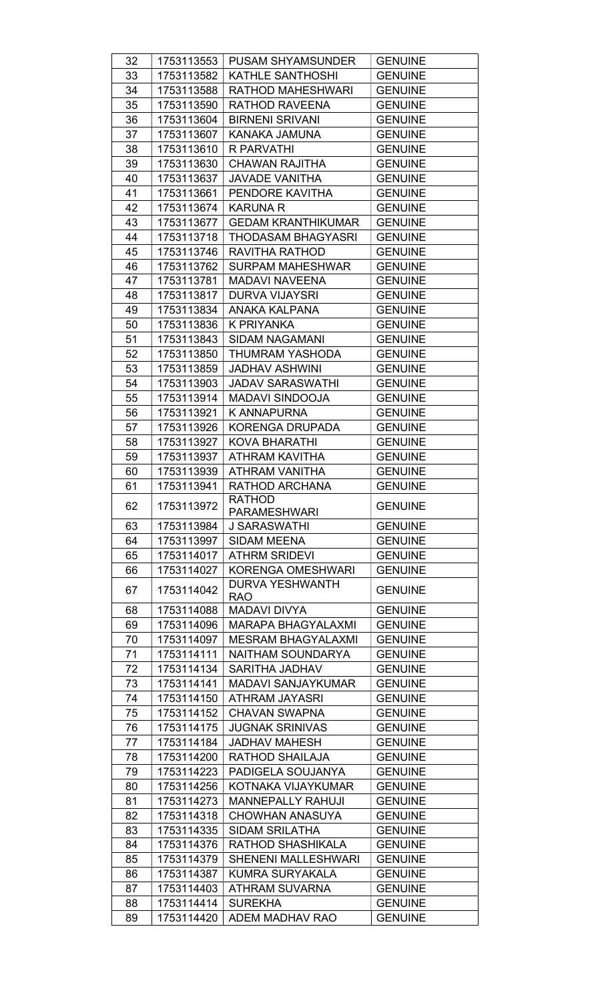| 32 | 1753113553 | <b>PUSAM SHYAMSUNDER</b>   | <b>GENUINE</b> |
|----|------------|----------------------------|----------------|
| 33 | 1753113582 | <b>KATHLE SANTHOSHI</b>    | <b>GENUINE</b> |
| 34 | 1753113588 | RATHOD MAHESHWARI          | <b>GENUINE</b> |
| 35 | 1753113590 | RATHOD RAVEENA             | <b>GENUINE</b> |
| 36 | 1753113604 | <b>BIRNENI SRIVANI</b>     | <b>GENUINE</b> |
| 37 | 1753113607 | KANAKA JAMUNA              | <b>GENUINE</b> |
| 38 | 1753113610 | R PARVATHI                 | <b>GENUINE</b> |
| 39 | 1753113630 | <b>CHAWAN RAJITHA</b>      | <b>GENUINE</b> |
| 40 | 1753113637 | <b>JAVADE VANITHA</b>      | <b>GENUINE</b> |
| 41 | 1753113661 | PENDORE KAVITHA            | <b>GENUINE</b> |
| 42 | 1753113674 | <b>KARUNA R</b>            | <b>GENUINE</b> |
| 43 | 1753113677 | <b>GEDAM KRANTHIKUMAR</b>  | <b>GENUINE</b> |
| 44 |            |                            |                |
|    | 1753113718 | <b>THODASAM BHAGYASRI</b>  | <b>GENUINE</b> |
| 45 | 1753113746 | RAVITHA RATHOD             | <b>GENUINE</b> |
| 46 | 1753113762 | <b>SURPAM MAHESHWAR</b>    | <b>GENUINE</b> |
| 47 | 1753113781 | <b>MADAVI NAVEENA</b>      | <b>GENUINE</b> |
| 48 | 1753113817 | <b>DURVA VIJAYSRI</b>      | <b>GENUINE</b> |
| 49 | 1753113834 | ANAKA KALPANA              | <b>GENUINE</b> |
| 50 | 1753113836 | K PRIYANKA                 | <b>GENUINE</b> |
| 51 | 1753113843 | SIDAM NAGAMANI             | <b>GENUINE</b> |
| 52 | 1753113850 | THUMRAM YASHODA            | <b>GENUINE</b> |
| 53 | 1753113859 | <b>JADHAV ASHWINI</b>      | <b>GENUINE</b> |
| 54 | 1753113903 | <b>JADAV SARASWATHI</b>    | <b>GENUINE</b> |
| 55 | 1753113914 | <b>MADAVI SINDOOJA</b>     | <b>GENUINE</b> |
| 56 | 1753113921 | K ANNAPURNA                | <b>GENUINE</b> |
| 57 | 1753113926 | <b>KORENGA DRUPADA</b>     | <b>GENUINE</b> |
| 58 | 1753113927 | KOVA BHARATHI              | <b>GENUINE</b> |
| 59 | 1753113937 | ATHRAM KAVITHA             | <b>GENUINE</b> |
| 60 | 1753113939 | ATHRAM VANITHA             | <b>GENUINE</b> |
| 61 | 1753113941 | RATHOD ARCHANA             | <b>GENUINE</b> |
|    |            | RATHOD                     |                |
| 62 | 1753113972 | <b>PARAMESHWARI</b>        | <b>GENUINE</b> |
| 63 | 1753113984 | <b>J SARASWATHI</b>        | <b>GENUINE</b> |
| 64 | 1753113997 | <b>SIDAM MEENA</b>         | <b>GENUINE</b> |
| 65 | 1753114017 | <b>ATHRM SRIDEVI</b>       | <b>GENUINE</b> |
| 66 | 1753114027 | <b>KORENGA OMESHWARI</b>   | <b>GENUINE</b> |
| 67 | 1753114042 | <b>DURVA YESHWANTH</b>     | <b>GENUINE</b> |
|    |            | <b>RAO</b>                 |                |
| 68 | 1753114088 | <b>MADAVI DIVYA</b>        | <b>GENUINE</b> |
| 69 | 1753114096 | <b>MARAPA BHAGYALAXMI</b>  | <b>GENUINE</b> |
| 70 | 1753114097 | <b>MESRAM BHAGYALAXMI</b>  | <b>GENUINE</b> |
| 71 | 1753114111 | NAITHAM SOUNDARYA          | <b>GENUINE</b> |
| 72 | 1753114134 | SARITHA JADHAV             | <b>GENUINE</b> |
| 73 | 1753114141 | <b>MADAVI SANJAYKUMAR</b>  | <b>GENUINE</b> |
| 74 | 1753114150 | <b>ATHRAM JAYASRI</b>      | <b>GENUINE</b> |
| 75 | 1753114152 | <b>CHAVAN SWAPNA</b>       | <b>GENUINE</b> |
| 76 | 1753114175 | <b>JUGNAK SRINIVAS</b>     | <b>GENUINE</b> |
| 77 | 1753114184 | <b>JADHAV MAHESH</b>       | <b>GENUINE</b> |
| 78 | 1753114200 | RATHOD SHAILAJA            | <b>GENUINE</b> |
| 79 | 1753114223 | PADIGELA SOUJANYA          | <b>GENUINE</b> |
| 80 | 1753114256 | KOTNAKA VIJAYKUMAR         | <b>GENUINE</b> |
| 81 | 1753114273 | <b>MANNEPALLY RAHUJI</b>   | <b>GENUINE</b> |
| 82 | 1753114318 | <b>CHOWHAN ANASUYA</b>     | <b>GENUINE</b> |
| 83 | 1753114335 | <b>SIDAM SRILATHA</b>      | <b>GENUINE</b> |
| 84 | 1753114376 | RATHOD SHASHIKALA          | <b>GENUINE</b> |
| 85 | 1753114379 | <b>SHENENI MALLESHWARI</b> | <b>GENUINE</b> |
|    | 1753114387 | <b>KUMRA SURYAKALA</b>     | <b>GENUINE</b> |
| 86 | 1753114403 |                            |                |
| 87 |            | <b>ATHRAM SUVARNA</b>      | <b>GENUINE</b> |
| 88 | 1753114414 | <b>SUREKHA</b>             | <b>GENUINE</b> |
| 89 | 1753114420 | ADEM MADHAV RAO            | <b>GENUINE</b> |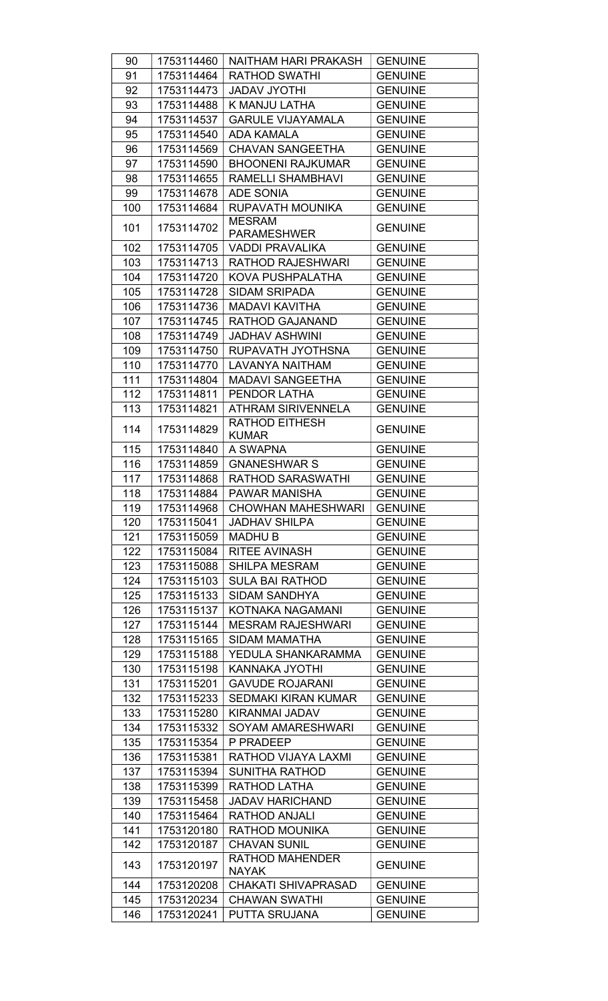| 90  | 1753114460               | <b>NAITHAM HARI PRAKASH</b>            | <b>GENUINE</b> |
|-----|--------------------------|----------------------------------------|----------------|
| 91  | 1753114464               | <b>RATHOD SWATHI</b>                   | <b>GENUINE</b> |
| 92  | 1753114473               | <b>JADAV JYOTHI</b>                    | <b>GENUINE</b> |
| 93  | 1753114488               | K MANJU LATHA                          | <b>GENUINE</b> |
| 94  | 1753114537               | <b>GARULE VIJAYAMALA</b>               | <b>GENUINE</b> |
| 95  | 1753114540               | <b>ADA KAMALA</b>                      | <b>GENUINE</b> |
| 96  | 1753114569               | <b>CHAVAN SANGEETHA</b>                | <b>GENUINE</b> |
| 97  | 1753114590               | <b>BHOONENI RAJKUMAR</b>               | <b>GENUINE</b> |
| 98  | 1753114655               | <b>RAMELLI SHAMBHAVI</b>               | <b>GENUINE</b> |
| 99  | 1753114678               | <b>ADE SONIA</b>                       | <b>GENUINE</b> |
| 100 | 1753114684               | RUPAVATH MOUNIKA                       | <b>GENUINE</b> |
| 101 | 1753114702               | <b>MESRAM</b><br><b>PARAMESHWER</b>    | <b>GENUINE</b> |
| 102 | 1753114705               | <b>VADDI PRAVALIKA</b>                 | <b>GENUINE</b> |
| 103 | 1753114713               | <b>RATHOD RAJESHWARI</b>               | <b>GENUINE</b> |
| 104 | 1753114720               | KOVA PUSHPALATHA                       | <b>GENUINE</b> |
| 105 | 1753114728               | <b>SIDAM SRIPADA</b>                   | <b>GENUINE</b> |
| 106 | 1753114736               | <b>MADAVI KAVITHA</b>                  | <b>GENUINE</b> |
| 107 | 1753114745               | RATHOD GAJANAND                        | <b>GENUINE</b> |
| 108 | 1753114749               | <b>JADHAV ASHWINI</b>                  | <b>GENUINE</b> |
| 109 | 1753114750               | RUPAVATH JYOTHSNA                      | <b>GENUINE</b> |
| 110 | 1753114770               | LAVANYA NAITHAM                        | <b>GENUINE</b> |
| 111 | 1753114804               | <b>MADAVI SANGEETHA</b>                | <b>GENUINE</b> |
| 112 | 1753114811               | PENDOR LATHA                           | <b>GENUINE</b> |
| 113 | 1753114821               | <b>ATHRAM SIRIVENNELA</b>              | <b>GENUINE</b> |
| 114 | 1753114829               | <b>RATHOD EITHESH</b><br><b>KUMAR</b>  | <b>GENUINE</b> |
| 115 | 1753114840               | A SWAPNA                               | <b>GENUINE</b> |
| 116 | 1753114859               | <b>GNANESHWAR S</b>                    | <b>GENUINE</b> |
| 117 | 1753114868               | <b>RATHOD SARASWATHI</b>               | <b>GENUINE</b> |
| 118 | 1753114884               | <b>PAWAR MANISHA</b>                   | <b>GENUINE</b> |
| 119 | 1753114968               | <b>CHOWHAN MAHESHWARI</b>              | <b>GENUINE</b> |
| 120 | 1753115041               | <b>JADHAV SHILPA</b>                   | <b>GENUINE</b> |
| 121 | 1753115059               | <b>MADHUB</b>                          | <b>GENUINE</b> |
| 122 | 1753115084               | <b>RITEE AVINASH</b>                   | <b>GENUINE</b> |
| 123 | 1753115088               | <b>SHILPA MESRAM</b>                   | <b>GENUINE</b> |
| 124 | 1753115103               | <b>SULA BAI RATHOD</b>                 | <b>GENUINE</b> |
| 125 | 1753115133               | SIDAM SANDHYA                          | <b>GENUINE</b> |
| 126 | 1753115137               | KOTNAKA NAGAMANI                       | <b>GENUINE</b> |
| 127 | 1753115144               | <b>MESRAM RAJESHWARI</b>               | <b>GENUINE</b> |
| 128 | 1753115165               | <b>SIDAM MAMATHA</b>                   | <b>GENUINE</b> |
| 129 | 1753115188               | YEDULA SHANKARAMMA                     | <b>GENUINE</b> |
| 130 | 1753115198               | KANNAKA JYOTHI                         | <b>GENUINE</b> |
| 131 | 1753115201               | <b>GAVUDE ROJARANI</b>                 | <b>GENUINE</b> |
| 132 | 1753115233               | <b>SEDMAKI KIRAN KUMAR</b>             | <b>GENUINE</b> |
| 133 | 1753115280               | KIRANMAI JADAV                         | <b>GENUINE</b> |
| 134 | 1753115332               | <b>SOYAM AMARESHWARI</b>               | <b>GENUINE</b> |
| 135 | 1753115354               | P PRADEEP                              | <b>GENUINE</b> |
| 136 | 1753115381               | RATHOD VIJAYA LAXMI                    | <b>GENUINE</b> |
| 137 | 1753115394               | <b>SUNITHA RATHOD</b>                  | <b>GENUINE</b> |
| 138 | 1753115399               | RATHOD LATHA                           | <b>GENUINE</b> |
| 139 | 1753115458               | <b>JADAV HARICHAND</b>                 | <b>GENUINE</b> |
| 140 | 1753115464               | <b>RATHOD ANJALI</b>                   | <b>GENUINE</b> |
| 141 | 1753120180               | RATHOD MOUNIKA                         | <b>GENUINE</b> |
| 142 | 1753120187               | <b>CHAVAN SUNIL</b><br>RATHOD MAHENDER | <b>GENUINE</b> |
| 143 | 1753120197               | <b>NAYAK</b>                           | <b>GENUINE</b> |
| 144 | 1753120208               | <b>CHAKATI SHIVAPRASAD</b>             | <b>GENUINE</b> |
| 145 |                          | <b>CHAWAN SWATHI</b>                   | <b>GENUINE</b> |
| 146 | 1753120234<br>1753120241 | PUTTA SRUJANA                          | <b>GENUINE</b> |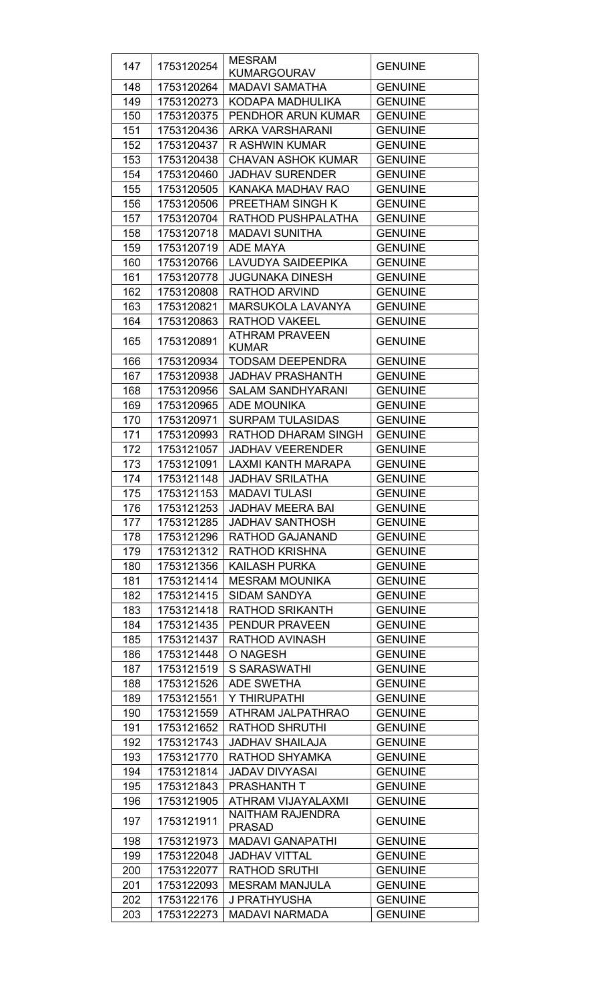| 147        | 1753120254               | <b>MESRAM</b><br><b>KUMARGOURAV</b>      | <b>GENUINE</b>                   |
|------------|--------------------------|------------------------------------------|----------------------------------|
| 148        | 1753120264               | <b>MADAVI SAMATHA</b>                    | <b>GENUINE</b>                   |
| 149        |                          |                                          | <b>GENUINE</b>                   |
|            | 1753120273               | KODAPA MADHULIKA                         |                                  |
| 150        | 1753120375               | PENDHOR ARUN KUMAR                       | <b>GENUINE</b>                   |
| 151        | 1753120436               | <b>ARKA VARSHARANI</b>                   | <b>GENUINE</b>                   |
| 152        | 1753120437               | R ASHWIN KUMAR                           | <b>GENUINE</b>                   |
| 153        | 1753120438               | <b>CHAVAN ASHOK KUMAR</b>                | <b>GENUINE</b>                   |
| 154        | 1753120460               | <b>JADHAV SURENDER</b>                   | <b>GENUINE</b>                   |
| 155        | 1753120505               | KANAKA MADHAV RAO                        | <b>GENUINE</b>                   |
| 156        | 1753120506               | PREETHAM SINGH K                         | <b>GENUINE</b>                   |
| 157        | 1753120704               | RATHOD PUSHPALATHA                       | <b>GENUINE</b>                   |
| 158        | 1753120718               | <b>MADAVI SUNITHA</b>                    | <b>GENUINE</b>                   |
| 159        | 1753120719               | <b>ADE MAYA</b>                          | <b>GENUINE</b>                   |
| 160        | 1753120766               | <b>LAVUDYA SAIDEEPIKA</b>                | <b>GENUINE</b>                   |
| 161        | 1753120778               | <b>JUGUNAKA DINESH</b>                   | <b>GENUINE</b>                   |
| 162        | 1753120808               | <b>RATHOD ARVIND</b>                     | <b>GENUINE</b>                   |
| 163        | 1753120821               | <b>MARSUKOLA LAVANYA</b>                 | <b>GENUINE</b>                   |
| 164        | 1753120863               | <b>RATHOD VAKEEL</b>                     | <b>GENUINE</b>                   |
| 165        | 1753120891               | <b>ATHRAM PRAVEEN</b><br><b>KUMAR</b>    | <b>GENUINE</b>                   |
| 166        | 1753120934               | <b>TODSAM DEEPENDRA</b>                  | <b>GENUINE</b>                   |
| 167        | 1753120938               | <b>JADHAV PRASHANTH</b>                  | <b>GENUINE</b>                   |
| 168        | 1753120956               | <b>SALAM SANDHYARANI</b>                 | <b>GENUINE</b>                   |
| 169        | 1753120965               | <b>ADE MOUNIKA</b>                       | <b>GENUINE</b>                   |
| 170        | 1753120971               | <b>SURPAM TULASIDAS</b>                  | <b>GENUINE</b>                   |
| 171        | 1753120993               | RATHOD DHARAM SINGH                      | <b>GENUINE</b>                   |
| 172        | 1753121057               | <b>JADHAV VEERENDER</b>                  | <b>GENUINE</b>                   |
| 173        | 1753121091               | <b>LAXMI KANTH MARAPA</b>                | <b>GENUINE</b>                   |
| 174        | 1753121148               | <b>JADHAV SRILATHA</b>                   | <b>GENUINE</b>                   |
| 175        | 1753121153               | <b>MADAVI TULASI</b>                     | <b>GENUINE</b>                   |
| 176        | 1753121253               | <b>JADHAV MEERA BAI</b>                  | <b>GENUINE</b>                   |
| 177        | 1753121285               | <b>JADHAV SANTHOSH</b>                   | <b>GENUINE</b>                   |
| 178        | 1753121296               | RATHOD GAJANAND                          | <b>GENUINE</b>                   |
| 179        | 1753121312               | <b>RATHOD KRISHNA</b>                    | <b>GENUINE</b>                   |
| 180        | 1753121356               | <b>KAILASH PURKA</b>                     | <b>GENUINE</b>                   |
| 181        | 1753121414               | <b>MESRAM MOUNIKA</b>                    | <b>GENUINE</b>                   |
| 182        | 1753121415               | <b>SIDAM SANDYA</b>                      | <b>GENUINE</b>                   |
| 183        | 1753121418               | <b>RATHOD SRIKANTH</b>                   | <b>GENUINE</b>                   |
| 184        | 1753121435               | <b>PENDUR PRAVEEN</b>                    | <b>GENUINE</b>                   |
| 185        | 1753121437               | <b>RATHOD AVINASH</b>                    | <b>GENUINE</b>                   |
| 186        | 1753121448               | O NAGESH                                 | <b>GENUINE</b>                   |
| 187        | 1753121519               | <b>S SARASWATHI</b>                      | <b>GENUINE</b>                   |
| 188        | 1753121526               | <b>ADE SWETHA</b>                        | <b>GENUINE</b>                   |
| 189        | 1753121551               | Y THIRUPATHI                             | <b>GENUINE</b>                   |
| 190        | 1753121559               | ATHRAM JALPATHRAO                        | <b>GENUINE</b>                   |
| 191        | 1753121652               | <b>RATHOD SHRUTHI</b>                    | <b>GENUINE</b>                   |
| 192        | 1753121743               | <b>JADHAV SHAILAJA</b>                   | <b>GENUINE</b>                   |
| 193        | 1753121770               | RATHOD SHYAMKA                           | <b>GENUINE</b>                   |
| 194        | 1753121814<br>1753121843 | <b>JADAV DIVYASAI</b>                    | <b>GENUINE</b><br><b>GENUINE</b> |
| 195<br>196 | 1753121905               | <b>PRASHANTH T</b><br>ATHRAM VIJAYALAXMI | <b>GENUINE</b>                   |
|            |                          | <b>NAITHAM RAJENDRA</b>                  |                                  |
| 197        | 1753121911               | <b>PRASAD</b>                            | <b>GENUINE</b>                   |
| 198        | 1753121973               | <b>MADAVI GANAPATHI</b>                  | <b>GENUINE</b>                   |
| 199        | 1753122048               | <b>JADHAV VITTAL</b>                     | <b>GENUINE</b>                   |
| 200        | 1753122077<br>1753122093 | <b>RATHOD SRUTHI</b>                     | <b>GENUINE</b>                   |
| 201<br>202 | 1753122176               | <b>MESRAM MANJULA</b><br>J PRATHYUSHA    | <b>GENUINE</b><br><b>GENUINE</b> |
| 203        | 1753122273               | <b>MADAVI NARMADA</b>                    | <b>GENUINE</b>                   |
|            |                          |                                          |                                  |